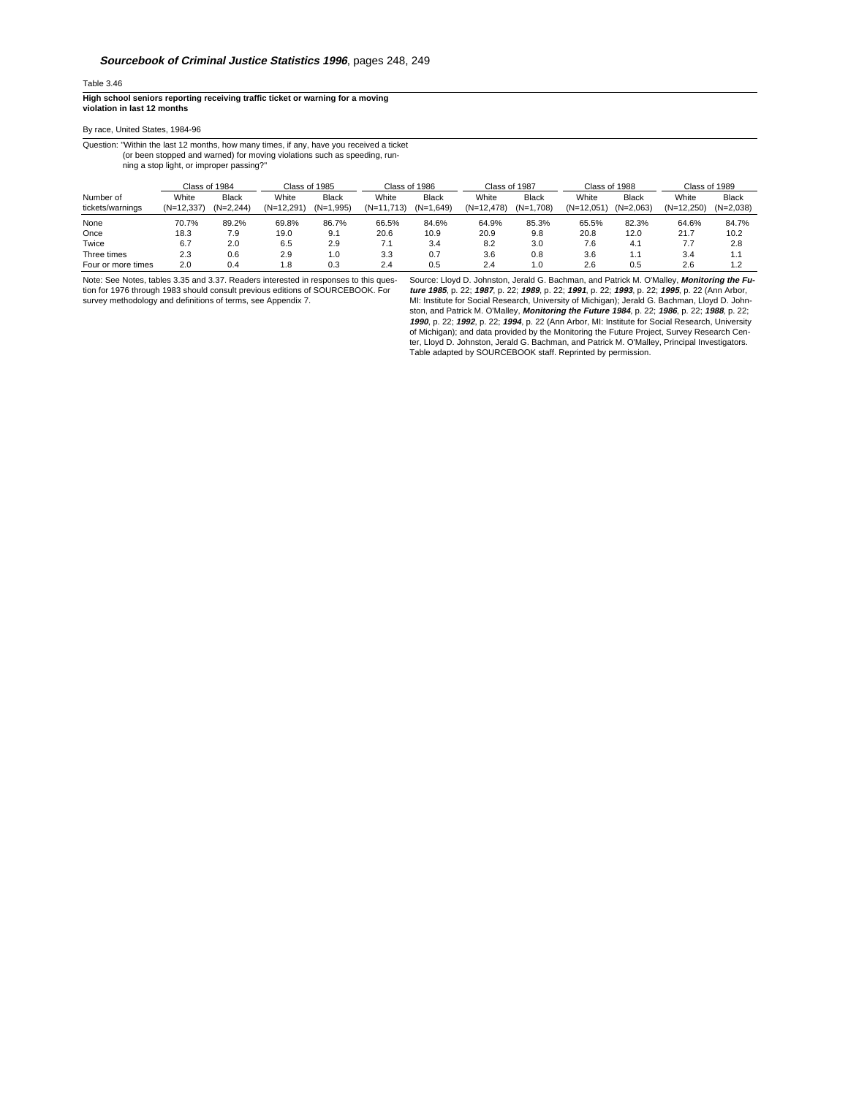## Table 3.46

**High school seniors reporting receiving traffic ticket or warning for a moving violation in last 12 months**

## By race, United States, 1984-96

Question: "Within the last 12 months, how many times, if any, have you received a ticket

(or been stopped and warned) for moving violations such as speeding, running a stop light, or improper passing?"

Class of 1984 Class of 1985 Class of 1986 Class of 1987 Class of 1988 Class of 1989 Number of tickets/warnings White (N=12,337) Black (N=2,244) White (N=12,291) Black (N=1,995) White (N=11,713) (N=1,649) Black White (N=12,478) Black (N=1,708) **White** (N=12,051) (N=2,063) Black White (N=12,250) Black (N=2,038) None 70.7% 89.2% 69.8% 86.7% 66.5% 84.6% 64.9% 85.3% 65.5% 82.3% 64.6% 84.7% Once 18.3 7.9 19.0 9.1 20.6 10.9 20.9 9.8 20.8 12.0 21.7 10.2 Twice 6.7 2.0 6.5 2.9 7.1 3.4 8.2 3.0 7.6 4.1 7.7 2.8 Three times 2.3 0.6 2.9 1.0 3.3 0.7 3.6 0.8 3.6 1.1 3.4 1.1 Four or more times 2.0 0.4 1.8 0.3 2.4 0.5 2.4 1.0 2.6 0.5 2.6 1.2

Note: See Notes, tables 3.35 and 3.37. Readers interested in responses to this question for 1976 through 1983 should consult previous editions of SOURCEBOOK. For survey methodology and definitions of terms, see Appendix 7.

Source: Lloyd D. Johnston, Jerald G. Bachman, and Patrick M. O'Malley, **Monitoring the Future 1985**, p. 22; **1987**, p. 22; **1989**, p. 22; **1991**, p. 22; **1993**, p. 22; **1995**, p. 22 (Ann Arbor, MI: Institute for Social Research, University of Michigan); Jerald G. Bachman, Lloyd D. John-ston, and Patrick M. O'Malley, **Monitoring the Future 1984**, p. 22; **1986**, p. 22; **1988**, p. 22; **1990**, p. 22; **1992**, p. 22; **1994**, p. 22 (Ann Arbor, MI: Institute for Social Research, University of Michigan); and data provided by the Monitoring the Future Project, Survey Research Center, Lloyd D. Johnston, Jerald G. Bachman, and Patrick M. O'Malley, Principal Investigators. Table adapted by SOURCEBOOK staff. Reprinted by permission.